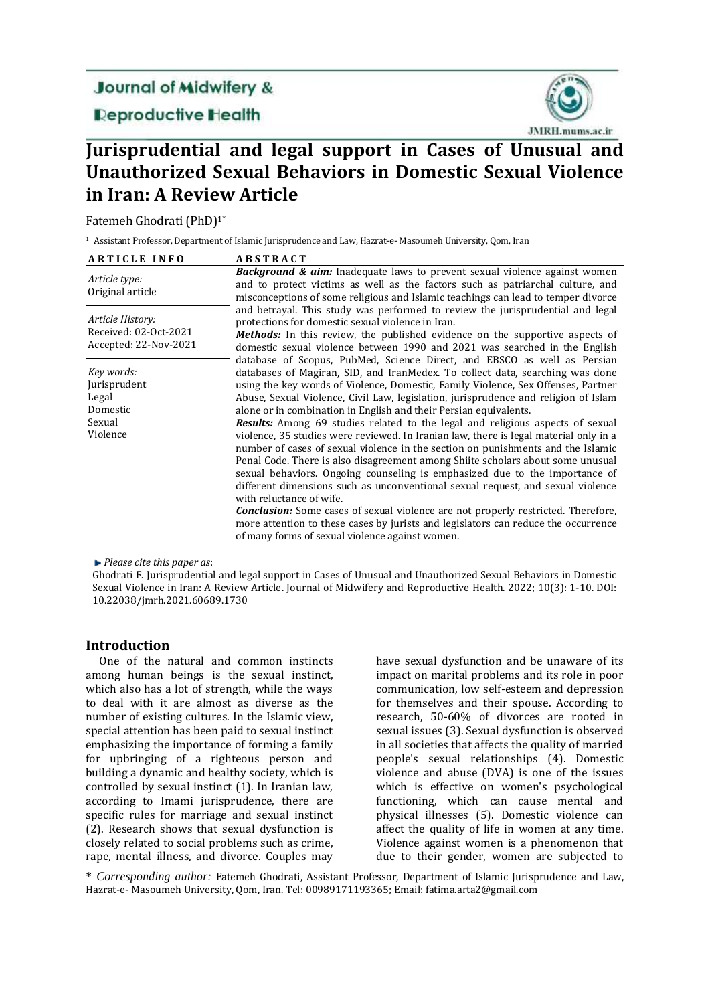## **Journal of Midwifery &**

**Deproductive Health** 



# **Jurisprudential and legal support in Cases of Unusual and Unauthorized Sexual Behaviors in Domestic Sexual Violence in Iran: A Review Article**

Fatemeh Ghodrati (PhD)1\*

<sup>1</sup> Assistant Professor, Department of Islamic Jurisprudence and Law, Hazrat-e- Masoumeh University, Qom, Iran

| <b>ARTICLE INFO</b>                                                   | <b>ABSTRACT</b>                                                                                                                                                                                                                                                                                                                                                                                                                                                                                                                                                                                                                                                                                                                                                                                                                                                                                                                                                                                                                                                                                                                                                                                                                                                                                                                                                                                                                                                                                             |
|-----------------------------------------------------------------------|-------------------------------------------------------------------------------------------------------------------------------------------------------------------------------------------------------------------------------------------------------------------------------------------------------------------------------------------------------------------------------------------------------------------------------------------------------------------------------------------------------------------------------------------------------------------------------------------------------------------------------------------------------------------------------------------------------------------------------------------------------------------------------------------------------------------------------------------------------------------------------------------------------------------------------------------------------------------------------------------------------------------------------------------------------------------------------------------------------------------------------------------------------------------------------------------------------------------------------------------------------------------------------------------------------------------------------------------------------------------------------------------------------------------------------------------------------------------------------------------------------------|
| Article type:<br>Original article                                     | <b>Background &amp; aim:</b> Inadequate laws to prevent sexual violence against women<br>and to protect victims as well as the factors such as patriarchal culture, and<br>misconceptions of some religious and Islamic teachings can lead to temper divorce                                                                                                                                                                                                                                                                                                                                                                                                                                                                                                                                                                                                                                                                                                                                                                                                                                                                                                                                                                                                                                                                                                                                                                                                                                                |
| Article History:<br>Received: 02-Oct-2021<br>Accepted: 22-Nov-2021    | and betrayal. This study was performed to review the jurisprudential and legal<br>protections for domestic sexual violence in Iran.<br><b>Methods:</b> In this review, the published evidence on the supportive aspects of<br>domestic sexual violence between 1990 and 2021 was searched in the English<br>database of Scopus, PubMed, Science Direct, and EBSCO as well as Persian<br>databases of Magiran, SID, and IranMedex. To collect data, searching was done<br>using the key words of Violence, Domestic, Family Violence, Sex Offenses, Partner<br>Abuse, Sexual Violence, Civil Law, legislation, jurisprudence and religion of Islam<br>alone or in combination in English and their Persian equivalents.<br>Results: Among 69 studies related to the legal and religious aspects of sexual<br>violence, 35 studies were reviewed. In Iranian law, there is legal material only in a<br>number of cases of sexual violence in the section on punishments and the Islamic<br>Penal Code. There is also disagreement among Shiite scholars about some unusual<br>sexual behaviors. Ongoing counseling is emphasized due to the importance of<br>different dimensions such as unconventional sexual request, and sexual violence<br>with reluctance of wife.<br><b>Conclusion:</b> Some cases of sexual violence are not properly restricted. Therefore,<br>more attention to these cases by jurists and legislators can reduce the occurrence<br>of many forms of sexual violence against women. |
| Key words:<br>Jurisprudent<br>Legal<br>Domestic<br>Sexual<br>Violence |                                                                                                                                                                                                                                                                                                                                                                                                                                                                                                                                                                                                                                                                                                                                                                                                                                                                                                                                                                                                                                                                                                                                                                                                                                                                                                                                                                                                                                                                                                             |

*Please cite this paper as*:

Ghodrati F. Jurisprudential and legal support in Cases of Unusual and Unauthorized Sexual Behaviors in Domestic Sexual Violence in Iran: A Review Article. Journal of Midwifery and Reproductive Health. 2022; 10(3): 1-10. DOI: 10.22038/jmrh.2021.60689.1730

## **Introduction**

One of the natural and common instincts among human beings is the sexual instinct, which also has a lot of strength, while the ways to deal with it are almost as diverse as the number of existing cultures. In the Islamic view, special attention has been paid to sexual instinct emphasizing the importance of forming a family for upbringing of a righteous person and building a dynamic and healthy society, which is controlled by sexual instinct (1). In Iranian law, according to Imami jurisprudence, there are specific rules for marriage and sexual instinct (2). Research shows that sexual dysfunction is closely related to social problems such as crime, rape, mental illness, and divorce. Couples may

have sexual dysfunction and be unaware of its impact on marital problems and its role in poor communication, low self-esteem and depression for themselves and their spouse. According to research, 50-60% of divorces are rooted in sexual issues (3). Sexual dysfunction is observed in all societies that affects the quality of married people's sexual relationships (4). Domestic violence and abuse (DVA) is one of the issues which is effective on women's psychological functioning, which can cause mental and physical illnesses (5). Domestic violence can affect the quality of life in women at any time. Violence against women is a phenomenon that due to their gender, women are subjected to

\* *Corresponding author:* Fatemeh Ghodrati, Assistant Professor, Department of Islamic Jurisprudence and Law, Hazrat-e- Masoumeh University, Qom, Iran. Tel: 00989171193365; Email: fatima.arta2@gmail.com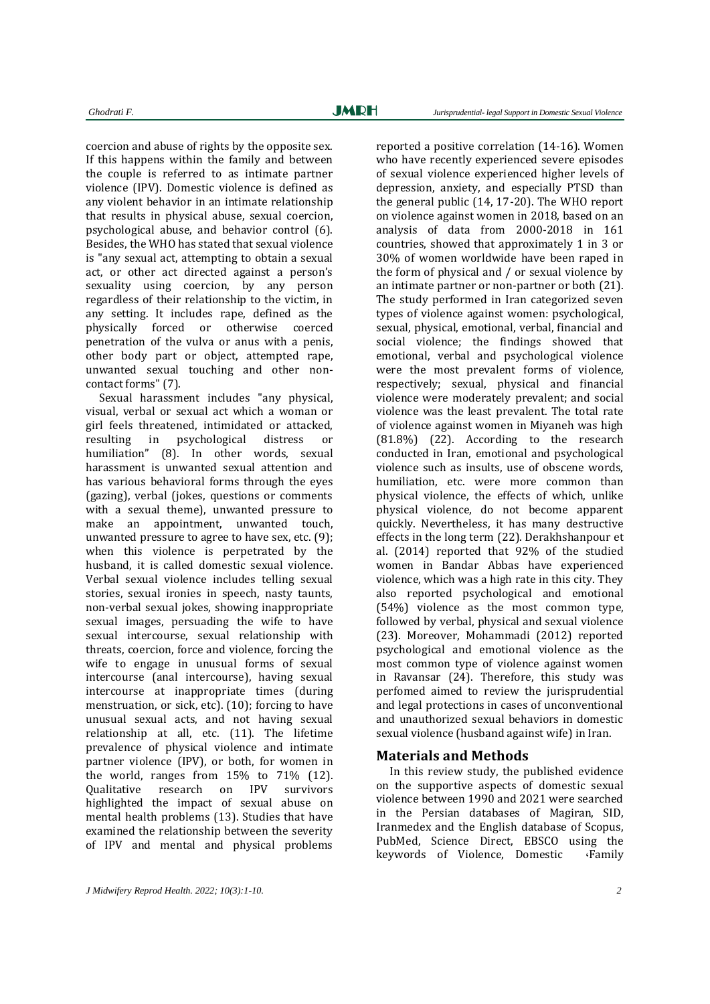coercion and abuse of rights by the opposite sex. If this happens within the family and between the couple is referred to as intimate partner violence (IPV). Domestic violence is defined as any violent behavior in an intimate relationship that results in physical abuse, sexual coercion, psychological abuse, and behavior control (6). Besides, the WHO has stated that sexual violence is "any sexual act, attempting to obtain a sexual act, or other act directed against a person's sexuality using coercion, by any person regardless of their relationship to the victim, in any setting. It includes rape, defined as the physically forced or otherwise coerced penetration of the vulva or anus with a penis, other body part or object, attempted rape, unwanted sexual touching and other noncontact forms" (7).

Sexual harassment includes "any physical, visual, verbal or sexual act which a woman or girl feels threatened, intimidated or attacked, resulting in psychological distress or humiliation" (8). In other words, sexual harassment is unwanted sexual attention and has various behavioral forms through the eyes (gazing), verbal (jokes, questions or comments with a sexual theme), unwanted pressure to make an appointment, unwanted touch, unwanted pressure to agree to have sex, etc. (9); when this violence is perpetrated by the husband, it is called domestic sexual violence. Verbal sexual violence includes telling sexual stories, sexual ironies in speech, nasty taunts, non-verbal sexual jokes, showing inappropriate sexual images, persuading the wife to have sexual intercourse, sexual relationship with threats, coercion, force and violence, forcing the wife to engage in unusual forms of sexual intercourse (anal intercourse), having sexual intercourse at inappropriate times (during menstruation, or sick, etc). (10); forcing to have unusual sexual acts, and not having sexual relationship at all, etc. (11). The lifetime prevalence of physical violence and intimate partner violence (IPV), or both, for women in the world, ranges from 15% to 71% (12). Qualitative research on IPV survivors highlighted the impact of sexual abuse on mental health problems (13). Studies that have examined the relationship between the severity of IPV and mental and physical problems

reported a positive correlation (14-16). Women who have recently experienced severe episodes of sexual violence experienced higher levels of depression, anxiety, and especially PTSD than the general public (14, 17-20). The WHO report on violence against women in 2018, based on an analysis of data from 2000-2018 in 161 countries, showed that approximately 1 in 3 or 30% of women worldwide have been raped in the form of physical and / or sexual violence by an intimate partner or non-partner or both (21). The study performed in Iran categorized seven types of violence against women: psychological, sexual, physical, emotional, verbal, financial and social violence; the findings showed that emotional, verbal and psychological violence were the most prevalent forms of violence, respectively; sexual, physical and financial violence were moderately prevalent; and social violence was the least prevalent. The total rate of violence against women in Miyaneh was high (81.8%) (22). According to the research conducted in Iran, emotional and psychological violence such as insults, use of obscene words, humiliation, etc. were more common than physical violence, the effects of which, unlike physical violence, do not become apparent quickly. Nevertheless, it has many destructive effects in the long term (22). Derakhshanpour et al. (2014) reported that 92% of the studied women in Bandar Abbas have experienced violence, which was a high rate in this city. They also reported psychological and emotional (54%) violence as the most common type, followed by verbal, physical and sexual violence (23). Moreover, Mohammadi (2012) reported psychological and emotional violence as the most common type of violence against women in Ravansar (24). Therefore, this study was perfomed aimed to review the jurisprudential and legal protections in cases of unconventional and unauthorized sexual behaviors in domestic sexual violence (husband against wife) in Iran.

#### **Materials and Methods**

In this review study, the published evidence on the supportive aspects of domestic sexual violence between 1990 and 2021 were searched in the Persian databases of Magiran, SID, Iranmedex and the English database of Scopus, PubMed, Science Direct, EBSCO using the keywords of Violence, Domestic ،Family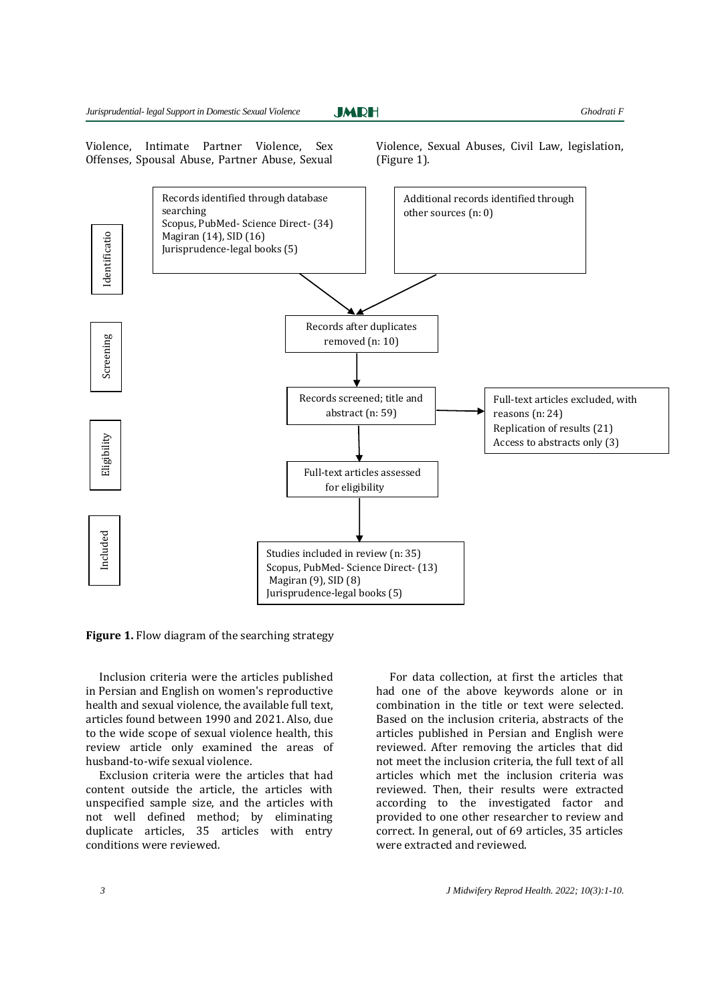**JMRH** 

Violence, Intimate Partner Violence, Sex Offenses, Spousal Abuse, Partner Abuse, Sexual Violence, Sexual Abuses, Civil Law, legislation, (Figure 1).



**Figure 1.** Flow diagram of the searching strategy

Inclusion criteria were the articles published in Persian and English on women's reproductive health and sexual violence, the available full text, articles found between 1990 and 2021. Also, due to the wide scope of sexual violence health, this review article only examined the areas of husband-to-wife sexual violence.

Exclusion criteria were the articles that had content outside the article, the articles with unspecified sample size, and the articles with not well defined method; by eliminating duplicate articles, 35 articles with entry conditions were reviewed.

For data collection, at first the articles that had one of the above keywords alone or in combination in the title or text were selected. Based on the inclusion criteria, abstracts of the articles published in Persian and English were reviewed. After removing the articles that did not meet the inclusion criteria, the full text of all articles which met the inclusion criteria was reviewed. Then, their results were extracted according to the investigated factor and provided to one other researcher to review and correct. In general, out of 69 articles, 35 articles were extracted and reviewed.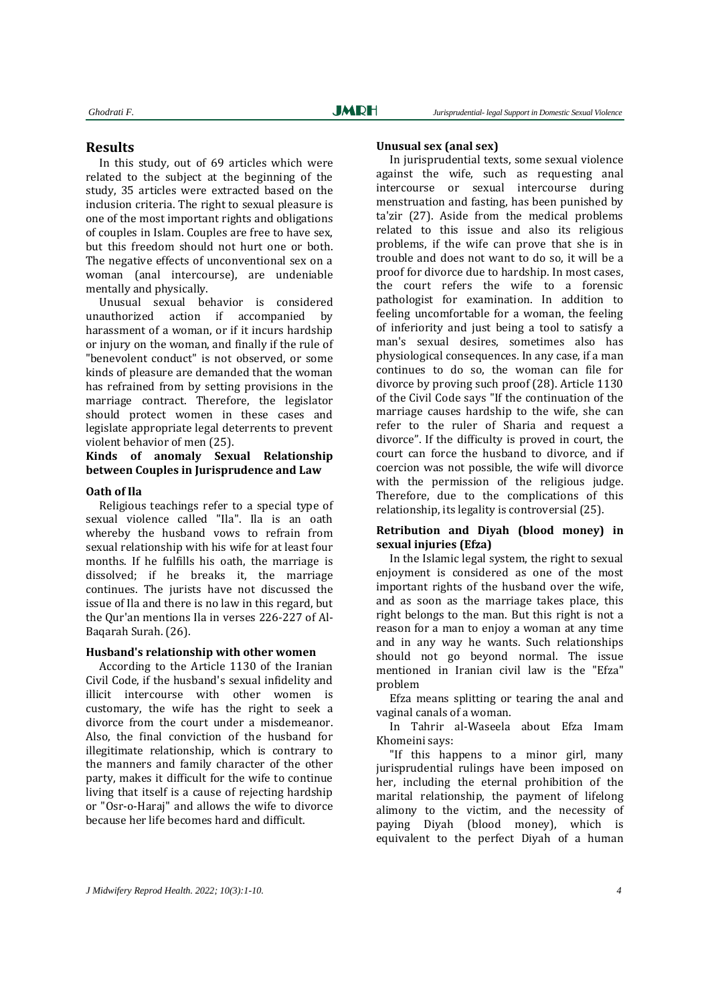### **Results**

In this study, out of 69 articles which were related to the subject at the beginning of the study, 35 articles were extracted based on the inclusion criteria. The right to sexual pleasure is one of the most important rights and obligations of couples in Islam. Couples are free to have sex, but this freedom should not hurt one or both. The negative effects of unconventional sex on a woman (anal intercourse), are undeniable mentally and physically.

Unusual sexual behavior is considered unauthorized action if accompanied by harassment of a woman, or if it incurs hardship or injury on the woman, and finally if the rule of "benevolent conduct" is not observed, or some kinds of pleasure are demanded that the woman has refrained from by setting provisions in the marriage contract. Therefore, the legislator should protect women in these cases and legislate appropriate legal deterrents to prevent violent behavior of men (25).

## **Kinds of anomaly Sexual Relationship between Couples in Jurisprudence and Law**

#### **Oath of Ila**

Religious teachings refer to a special type of sexual violence called "Ila". Ila is an oath whereby the husband vows to refrain from sexual relationship with his wife for at least four months. If he fulfills his oath, the marriage is dissolved; if he breaks it, the marriage continues. The jurists have not discussed the issue of Ila and there is no law in this regard, but the Qur'an mentions Ila in verses 226-227 of Al-Baqarah Surah. (26).

#### **Husband's relationship with other women**

According to the Article 1130 of the Iranian Civil Code, if the husband's sexual infidelity and illicit intercourse with other women is customary, the wife has the right to seek a divorce from the court under a misdemeanor. Also, the final conviction of the husband for illegitimate relationship, which is contrary to the manners and family character of the other party, makes it difficult for the wife to continue living that itself is a cause of rejecting hardship or "Osr-o-Haraj" and allows the wife to divorce because her life becomes hard and difficult.

#### **Unusual sex (anal sex)**

In jurisprudential texts, some sexual violence against the wife, such as requesting anal intercourse or sexual intercourse during menstruation and fasting, has been punished by ta'zir (27). Aside from the medical problems related to this issue and also its religious problems, if the wife can prove that she is in trouble and does not want to do so, it will be a proof for divorce due to hardship. In most cases, the court refers the wife to a forensic pathologist for examination. In addition to feeling uncomfortable for a woman, the feeling of inferiority and just being a tool to satisfy a man's sexual desires, sometimes also has physiological consequences. In any case, if a man continues to do so, the woman can file for divorce by proving such proof (28). Article 1130 of the Civil Code says "If the continuation of the marriage causes hardship to the wife, she can refer to the ruler of Sharia and request a divorce". If the difficulty is proved in court, the court can force the husband to divorce, and if coercion was not possible, the wife will divorce with the permission of the religious judge. Therefore, due to the complications of this relationship, its legality is controversial (25).

#### **Retribution and Diyah (blood money) in sexual injuries (Efza)**

In the Islamic legal system, the right to sexual enjoyment is considered as one of the most important rights of the husband over the wife, and as soon as the marriage takes place, this right belongs to the man. But this right is not a reason for a man to enjoy a woman at any time and in any way he wants. Such relationships should not go beyond normal. The issue mentioned in Iranian civil law is the "Efza" problem

Efza means splitting or tearing the anal and vaginal canals of a woman.

In Tahrir al-Waseela about Efza Imam Khomeini says:

"If this happens to a minor girl, many jurisprudential rulings have been imposed on her, including the eternal prohibition of the marital relationship, the payment of lifelong alimony to the victim, and the necessity of paying Diyah (blood money), which is equivalent to the perfect Diyah of a human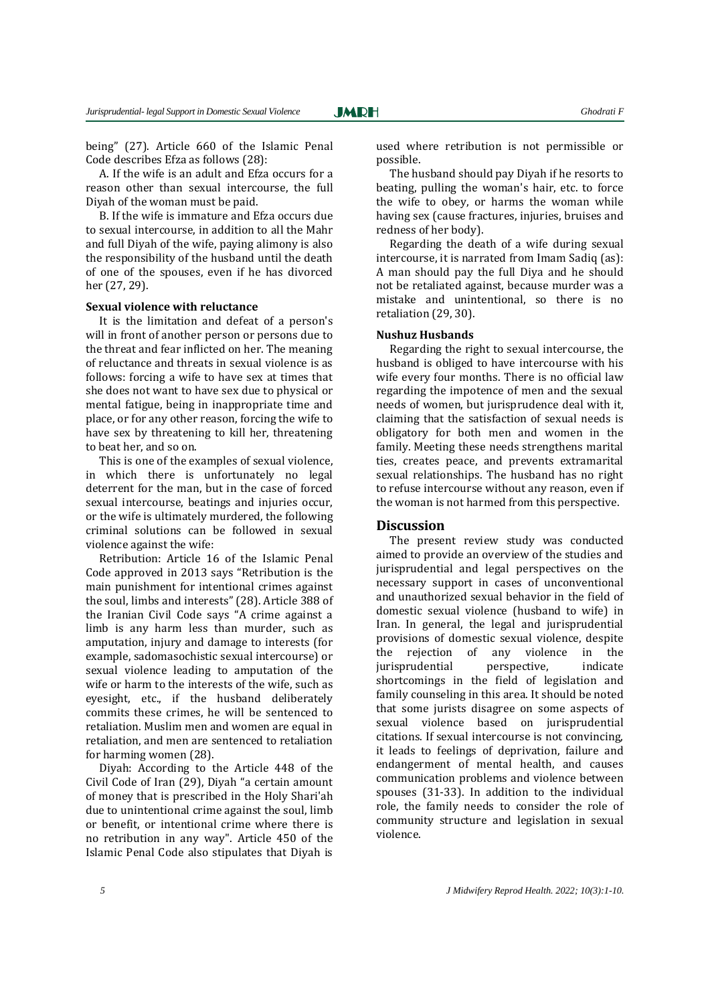being" (27). Article 660 of the Islamic Penal Code describes Efza as follows (28):

A. If the wife is an adult and Efza occurs for a reason other than sexual intercourse, the full Diyah of the woman must be paid.

B. If the wife is immature and Efza occurs due to sexual intercourse, in addition to all the Mahr and full Diyah of the wife, paying alimony is also the responsibility of the husband until the death of one of the spouses, even if he has divorced her (27, 29).

#### **Sexual violence with reluctance**

It is the limitation and defeat of a person's will in front of another person or persons due to the threat and fear inflicted on her. The meaning of reluctance and threats in sexual violence is as follows: forcing a wife to have sex at times that she does not want to have sex due to physical or mental fatigue, being in inappropriate time and place, or for any other reason, forcing the wife to have sex by threatening to kill her, threatening to beat her, and so on.

This is one of the examples of sexual violence, in which there is unfortunately no legal deterrent for the man, but in the case of forced sexual intercourse, beatings and injuries occur, or the wife is ultimately murdered, the following criminal solutions can be followed in sexual violence against the wife:

Retribution: Article 16 of the Islamic Penal Code approved in 2013 says "Retribution is the main punishment for intentional crimes against the soul, limbs and interests" (28). Article 388 of the Iranian Civil Code says "A crime against a limb is any harm less than murder, such as amputation, injury and damage to interests (for example, sadomasochistic sexual intercourse) or sexual violence leading to amputation of the wife or harm to the interests of the wife, such as eyesight, etc., if the husband deliberately commits these crimes, he will be sentenced to retaliation. Muslim men and women are equal in retaliation, and men are sentenced to retaliation for harming women (28).

Diyah: According to the Article 448 of the Civil Code of Iran (29), Diyah "a certain amount of money that is prescribed in the Holy Shari'ah due to unintentional crime against the soul, limb or benefit, or intentional crime where there is no retribution in any way". Article 450 of the Islamic Penal Code also stipulates that Diyah is

used where retribution is not permissible or possible.

The husband should pay Diyah if he resorts to beating, pulling the woman's hair, etc. to force the wife to obey, or harms the woman while having sex (cause fractures, injuries, bruises and redness of her body).

Regarding the death of a wife during sexual intercourse, it is narrated from Imam Sadiq (as): A man should pay the full Diya and he should not be retaliated against, because murder was a mistake and unintentional, so there is no retaliation (29, 30).

#### **Nushuz Husbands**

Regarding the right to sexual intercourse, the husband is obliged to have intercourse with his wife every four months. There is no official law regarding the impotence of men and the sexual needs of women, but jurisprudence deal with it, claiming that the satisfaction of sexual needs is obligatory for both men and women in the family. Meeting these needs strengthens marital ties, creates peace, and prevents extramarital sexual relationships. The husband has no right to refuse intercourse without any reason, even if the woman is not harmed from this perspective.

#### **Discussion**

The present review study was conducted aimed to provide an overview of the studies and jurisprudential and legal perspectives on the necessary support in cases of unconventional and unauthorized sexual behavior in the field of domestic sexual violence (husband to wife) in Iran. In general, the legal and jurisprudential provisions of domestic sexual violence, despite the rejection of any violence in the jurisprudential perspective, indicate shortcomings in the field of legislation and family counseling in this area. It should be noted that some jurists disagree on some aspects of sexual violence based on jurisprudential citations. If sexual intercourse is not convincing, it leads to feelings of deprivation, failure and endangerment of mental health, and causes communication problems and violence between spouses (31-33). In addition to the individual role, the family needs to consider the role of community structure and legislation in sexual violence.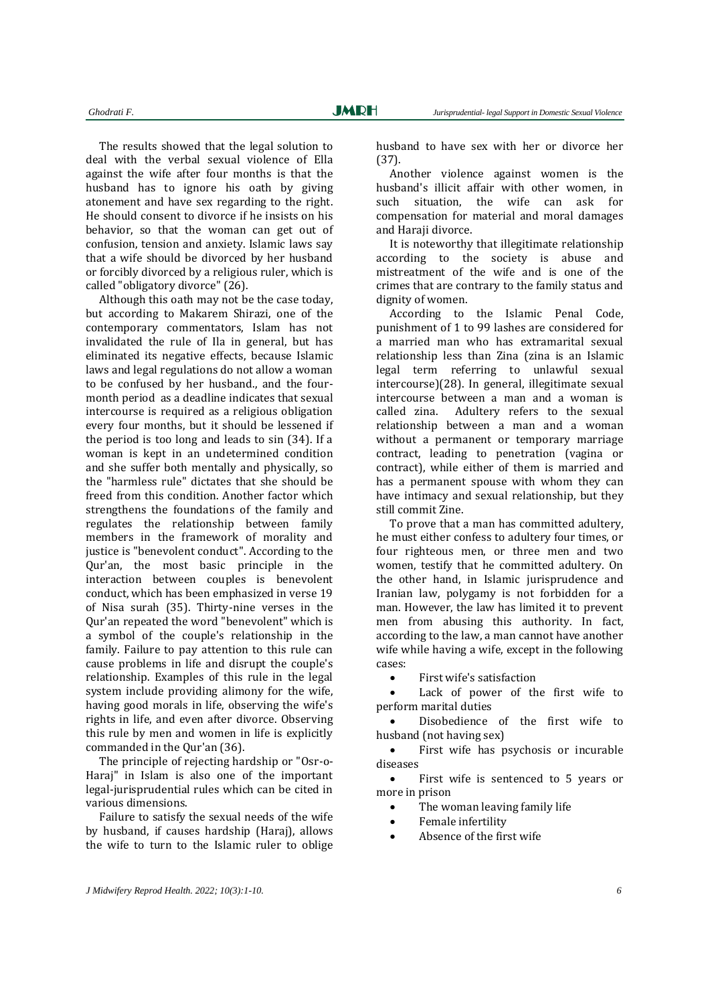The results showed that the legal solution to deal with the verbal sexual violence of Ella against the wife after four months is that the husband has to ignore his oath by giving atonement and have sex regarding to the right. He should consent to divorce if he insists on his behavior, so that the woman can get out of confusion, tension and anxiety. Islamic laws say that a wife should be divorced by her husband or forcibly divorced by a religious ruler, which is called "obligatory divorce" (26).

Although this oath may not be the case today, but according to Makarem Shirazi, one of the contemporary commentators, Islam has not invalidated the rule of Ila in general, but has eliminated its negative effects, because Islamic laws and legal regulations do not allow a woman to be confused by her husband., and the fourmonth period as a deadline indicates that sexual intercourse is required as a religious obligation every four months, but it should be lessened if the period is too long and leads to sin (34). If a woman is kept in an undetermined condition and she suffer both mentally and physically, so the "harmless rule" dictates that she should be freed from this condition. Another factor which strengthens the foundations of the family and regulates the relationship between family members in the framework of morality and justice is "benevolent conduct". According to the Qur'an, the most basic principle in the interaction between couples is benevolent conduct, which has been emphasized in verse 19 of Nisa surah (35). Thirty-nine verses in the Qur'an repeated the word "benevolent" which is a symbol of the couple's relationship in the family. Failure to pay attention to this rule can cause problems in life and disrupt the couple's relationship. Examples of this rule in the legal system include providing alimony for the wife, having good morals in life, observing the wife's rights in life, and even after divorce. Observing this rule by men and women in life is explicitly commanded in the Qur'an (36).

The principle of rejecting hardship or "Osr-o-Haraj" in Islam is also one of the important legal-jurisprudential rules which can be cited in various dimensions.

Failure to satisfy the sexual needs of the wife by husband, if causes hardship (Haraj), allows the wife to turn to the Islamic ruler to oblige husband to have sex with her or divorce her (37).

Another violence against women is the husband's illicit affair with other women, in such situation, the wife can ask for compensation for material and moral damages and Haraji divorce.

It is noteworthy that illegitimate relationship according to the society is abuse and mistreatment of the wife and is one of the crimes that are contrary to the family status and dignity of women.

According to the Islamic Penal Code, punishment of 1 to 99 lashes are considered for a married man who has extramarital sexual relationship less than Zina (zina is an Islamic legal term referring to unlawful sexual intercourse)(28). In general, illegitimate sexual intercourse between a man and a woman is called zina. Adultery refers to the sexual relationship between a man and a woman without a permanent or temporary marriage contract, leading to penetration (vagina or contract), while either of them is married and has a permanent spouse with whom they can have intimacy and sexual relationship, but they still commit Zine.

To prove that a man has committed adultery, he must either confess to adultery four times, or four righteous men, or three men and two women, testify that he committed adultery. On the other hand, in Islamic jurisprudence and Iranian law, polygamy is not forbidden for a man. However, the law has limited it to prevent men from abusing this authority. In fact, according to the law, a man cannot have another wife while having a wife, except in the following cases:

First wife's satisfaction

 Lack of power of the first wife to perform marital duties

 Disobedience of the first wife to husband (not having sex)

 First wife has psychosis or incurable diseases

 First wife is sentenced to 5 years or more in prison

- The woman leaving family life
- Female infertility
- Absence of the first wife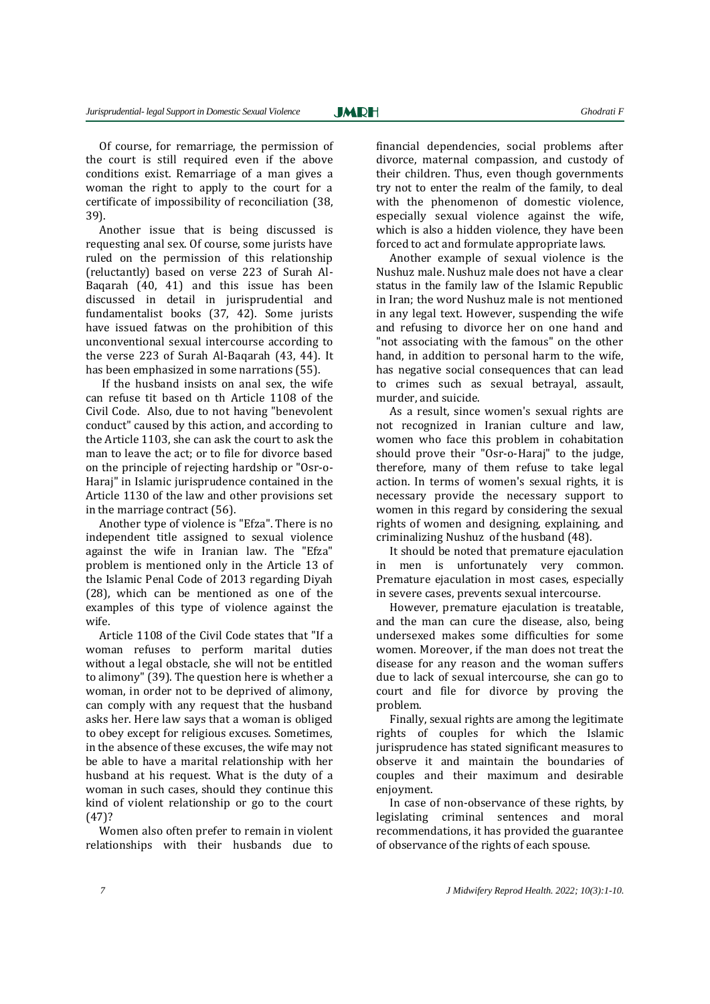Of course, for remarriage, the permission of the court is still required even if the above conditions exist. Remarriage of a man gives a woman the right to apply to the court for a certificate of impossibility of reconciliation (38, 39).

Another issue that is being discussed is requesting anal sex. Of course, some jurists have ruled on the permission of this relationship (reluctantly) based on verse 223 of Surah Al-Baqarah (40, 41) and this issue has been discussed in detail in jurisprudential and fundamentalist books (37, 42). Some jurists have issued fatwas on the prohibition of this unconventional sexual intercourse according to the verse 223 of Surah Al-Baqarah (43, 44). It has been emphasized in some narrations (55).

If the husband insists on anal sex, the wife can refuse tit based on th Article 1108 of the Civil Code. Also, due to not having "benevolent conduct" caused by this action, and according to the Article 1103, she can ask the court to ask the man to leave the act; or to file for divorce based on the principle of rejecting hardship or "Osr-o-Haraj" in Islamic jurisprudence contained in the Article 1130 of the law and other provisions set in the marriage contract (56).

Another type of violence is "Efza". There is no independent title assigned to sexual violence against the wife in Iranian law. The "Efza" problem is mentioned only in the Article 13 of the Islamic Penal Code of 2013 regarding Diyah (28), which can be mentioned as one of the examples of this type of violence against the wife.

Article 1108 of the Civil Code states that "If a woman refuses to perform marital duties without a legal obstacle, she will not be entitled to alimony" (39). The question here is whether a woman, in order not to be deprived of alimony, can comply with any request that the husband asks her. Here law says that a woman is obliged to obey except for religious excuses. Sometimes, in the absence of these excuses, the wife may not be able to have a marital relationship with her husband at his request. What is the duty of a woman in such cases, should they continue this kind of violent relationship or go to the court (47)?

Women also often prefer to remain in violent relationships with their husbands due to

financial dependencies, social problems after divorce, maternal compassion, and custody of their children. Thus, even though governments try not to enter the realm of the family, to deal with the phenomenon of domestic violence, especially sexual violence against the wife, which is also a hidden violence, they have been forced to act and formulate appropriate laws.

Another example of sexual violence is the Nushuz male. Nushuz male does not have a clear status in the family law of the Islamic Republic in Iran; the word Nushuz male is not mentioned in any legal text. However, suspending the wife and refusing to divorce her on one hand and "not associating with the famous" on the other hand, in addition to personal harm to the wife, has negative social consequences that can lead to crimes such as sexual betrayal, assault, murder, and suicide.

As a result, since women's sexual rights are not recognized in Iranian culture and law, women who face this problem in cohabitation should prove their "Osr-o-Haraj" to the judge, therefore, many of them refuse to take legal action. In terms of women's sexual rights, it is necessary provide the necessary support to women in this regard by considering the sexual rights of women and designing, explaining, and criminalizing Nushuz of the husband (48).

It should be noted that premature ejaculation in men is unfortunately very common. Premature ejaculation in most cases, especially in severe cases, prevents sexual intercourse.

However, premature ejaculation is treatable, and the man can cure the disease, also, being undersexed makes some difficulties for some women. Moreover, if the man does not treat the disease for any reason and the woman suffers due to lack of sexual intercourse, she can go to court and file for divorce by proving the problem.

Finally, sexual rights are among the legitimate rights of couples for which the Islamic jurisprudence has stated significant measures to observe it and maintain the boundaries of couples and their maximum and desirable enjoyment.

In case of non-observance of these rights, by legislating criminal sentences and moral recommendations, it has provided the guarantee of observance of the rights of each spouse.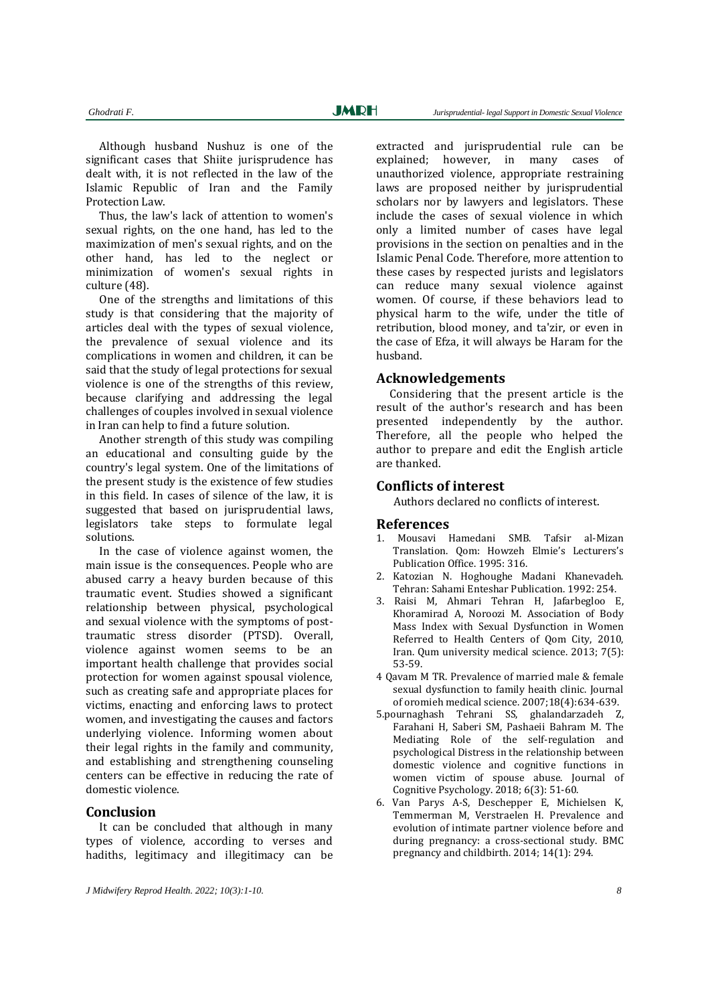Although husband Nushuz is one of the significant cases that Shiite jurisprudence has dealt with, it is not reflected in the law of the Islamic Republic of Iran and the Family Protection Law.

Thus, the law's lack of attention to women's sexual rights, on the one hand, has led to the maximization of men's sexual rights, and on the other hand, has led to the neglect or minimization of women's sexual rights in culture (48).

One of the strengths and limitations of this study is that considering that the majority of articles deal with the types of sexual violence, the prevalence of sexual violence and its complications in women and children, it can be said that the study of legal protections for sexual violence is one of the strengths of this review, because clarifying and addressing the legal challenges of couples involved in sexual violence in Iran can help to find a future solution.

Another strength of this study was compiling an educational and consulting guide by the country's legal system. One of the limitations of the present study is the existence of few studies in this field. In cases of silence of the law, it is suggested that based on jurisprudential laws, legislators take steps to formulate legal solutions.

In the case of violence against women, the main issue is the consequences. People who are abused carry a heavy burden because of this traumatic event. Studies showed a significant relationship between physical, psychological and sexual violence with the symptoms of posttraumatic stress disorder (PTSD). Overall, violence against women seems to be an important health challenge that provides social protection for women against spousal violence, such as creating safe and appropriate places for victims, enacting and enforcing laws to protect women, and investigating the causes and factors underlying violence. Informing women about their legal rights in the family and community, and establishing and strengthening counseling centers can be effective in reducing the rate of domestic violence.

## **Conclusion**

It can be concluded that although in many types of violence, according to verses and hadiths, legitimacy and illegitimacy can be extracted and jurisprudential rule can be explained; however, in many cases of unauthorized violence, appropriate restraining laws are proposed neither by jurisprudential scholars nor by lawyers and legislators. These include the cases of sexual violence in which only a limited number of cases have legal provisions in the section on penalties and in the Islamic Penal Code. Therefore, more attention to these cases by respected jurists and legislators can reduce many sexual violence against women. Of course, if these behaviors lead to physical harm to the wife, under the title of retribution, blood money, and ta'zir, or even in the case of Efza, it will always be Haram for the husband.

#### **Acknowledgements**

Considering that the present article is the result of the author's research and has been presented independently by the author. Therefore, all the people who helped the author to prepare and edit the English article are thanked.

## **Conflicts of interest**

Authors declared no conflicts of interest.

#### **References**

- 1. Mousavi Hamedani SMB. Tafsir al-Mizan Translation. Qom: Howzeh Elmie's Lecturers's Publication Office. 1995: 316.
- 2. Katozian N. Hoghoughe Madani Khanevadeh. Tehran: Sahami Enteshar Publication. 1992: 254.
- 3. Raisi M, Ahmari Tehran H, Jafarbegloo E, Khoramirad A, Noroozi M. Association of Body Mass Index with Sexual Dysfunction in Women Referred to Health Centers of Qom City, 2010, Iran. Qum university medical science. 2013; 7(5): 53-59.
- 4 Qavam M TR. Prevalence of married male & female sexual dysfunction to family heaith clinic. Journal of oromieh medical science. 2007;18(4):634-639.
- 5.pournaghash Tehrani SS, ghalandarzadeh Z, Farahani H, Saberi SM, Pashaeii Bahram M. The Mediating Role of the self-regulation and psychological Distress in the relationship between domestic violence and cognitive functions in women victim of spouse abuse. Journal of Cognitive Psychology. 2018; 6(3): 51-60.
- 6. Van Parys A-S, Deschepper E, Michielsen K, Temmerman M, Verstraelen H. Prevalence and evolution of intimate partner violence before and during pregnancy: a cross-sectional study. BMC pregnancy and childbirth. 2014; 14(1): 294.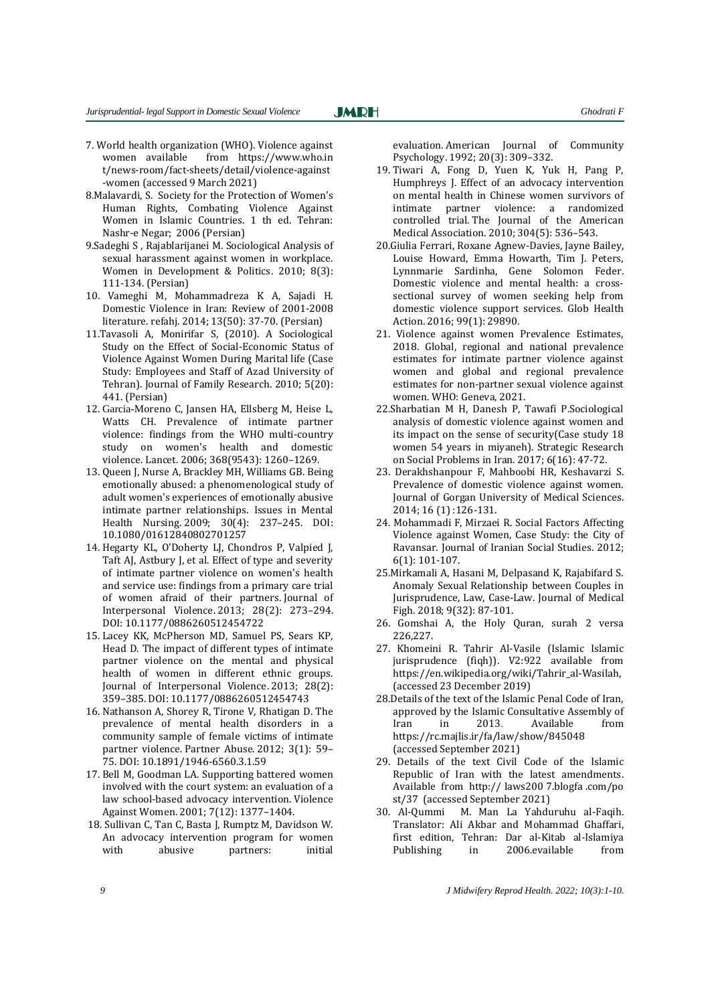7. World health organization (WHO). Violence against women available from [https://www](https://ww/).who.in t/news-room/fact-sheets/detail/violence-against -women (accessed 9 March 2021)

**JMRH** 

- 8.Malavardi, S. Society for the Protection of Women's Human Rights, Combating Violence Against Women in Islamic Countries. 1 th ed. Tehran: Nashr-e Negar; 2006 (Persian)
- 9.Sadeghi S , Rajablarijanei M. Sociological Analysis of sexual harassment against women in workplace. Women in Development & Politics. 2010; 8(3): 111-134. (Persian)
- 10. Vameghi M, Mohammadreza K A, Sajadi H. Domestic Violence in Iran: Review of 2001-2008 literature. refahj. 2014; 13(50): 37-70. (Persian)
- 11.Tavasoli A, Monirifar S, (2010). A Sociological Study on the Effect of Social-Economic Status of Violence Against Women During Marital life (Case Study: Employees and Staff of Azad University of Tehran). Journal of Family Research. 2010; 5(20): 441. (Persian)
- 12. Garcia-Moreno C, Jansen HA, Ellsberg M, Heise L, Watts CH. Prevalence of intimate partner violence: findings from the WHO multi-country study on women's health and domestic violence. Lancet. 2006; 368(9543): 1260–1269.
- 13. Queen J, Nurse A, Brackley MH, Williams GB. Being emotionally abused: a phenomenological study of adult women's experiences of emotionally abusive intimate partner relationships. Issues in Mental Health Nursing. 2009; 30(4): 237–245. DOI: 10.1080/01612840802701257
- 14. Hegarty KL, O'Doherty LJ, Chondros P, Valpied J, Taft AJ, Astbury J, et al. Effect of type and severity of intimate partner violence on women's health and service use: findings from a primary care trial of women afraid of their partners. Journal of Interpersonal Violence. 2013; 28(2): 273–294. DOI: 10.1177/0886260512454722
- 15. Lacey KK, McPherson MD, Samuel PS, Sears KP, Head D. The impact of different types of intimate partner violence on the mental and physical health of women in different ethnic groups. Journal of Interpersonal Violence. 2013; 28(2): 359–385. DOI: 10.1177/0886260512454743
- 16. Nathanson A, Shorey R, Tirone V, Rhatigan D. The prevalence of mental health disorders in a community sample of female victims of intimate partner violence. Partner Abuse. 2012; 3(1): 59– 75. DOI: 10.1891/1946-6560.3.1.59
- 17. Bell M, Goodman LA. Supporting battered women involved with the court system: an evaluation of a law school-based advocacy intervention. Violence Against Women. 2001; 7(12): 1377–1404.
- 18. Sullivan C, Tan C, Basta J, Rumptz M, Davidson W. An advocacy intervention program for women with abusive partners: initial

evaluation. American Journal of Community Psychology. 1992; 20(3): 309–332.

- 19. Tiwari A, Fong D, Yuen K, Yuk H, Pang P, Humphreys J. Effect of an advocacy intervention on mental health in Chinese women survivors of intimate partner violence: a randomized controlled trial. The Journal of the American Medical Association. 2010; 304(5): 536–543.
- 20.Giulia Ferrari, Roxane Agnew-Davies, Jayne Bailey, Louise Howard, Emma Howarth, Tim J. Peters, Lynnmarie Sardinha, Gene Solomon Feder. Domestic violence and mental health: a crosssectional survey of women seeking help from domestic violence support services. Glob Health Action. 2016; 99(1): 29890.
- 21. Violence against women Prevalence Estimates, 2018. Global, regional and national prevalence estimates for intimate partner violence against women and global and regional prevalence estimates for non-partner sexual violence against women. WHO: Geneva, 2021.
- 22.Sharbatian M H, Danesh P, Tawafi P.Sociological analysis of domestic violence against women and its impact on the sense of security(Case study 18 women 54 years in miyaneh). Strategic Research on Social Problems in Iran. 2017; 6(16): 47-72.
- 23. Derakhshanpour F, Mahboobi HR, Keshavarzi S. Prevalence of domestic violence against women. Journal of Gorgan University of Medical Sciences. 2014; 16 (1) :126-131.
- 24. Mohammadi F, Mirzaei R. Social Factors Affecting Violence against Women, Case Study: the City of Ravansar. Journal of Iranian Social Studies. 2012; 6(1): 101-107.
- 25.Mirkamali A, Hasani M, Delpasand K, Rajabifard S. Anomaly Sexual Relationship between Couples in Jurisprudence, Law, Case-Law. Journal of Medical Figh. 2018; 9(32): 87-101.
- 26. Gomshai A, the Holy Quran, surah 2 versa 226,227.
- 27. Khomeini R. Tahrir Al-Vasile (Islamic Islamic jurisprudence (fiqh)). V2:922 available from https://en.wikipedia.org/wiki/Tahrir\_al-Wasilah, (accessed 23 December 2019)
- 28.Details of the text of the Islamic Penal Code of Iran, approved by the Islamic Consultative Assembly of Iran in 2013. Available from https://rc.majlis.ir/fa/law/show/845048 (accessed September 2021)
- 29. Details of the text Civil Code of the Islamic Republic of Iran with the latest amendments. Available from http:// laws200 7.blogfa .com/po st/37 (accessed September 2021)
- 30. Al-Qummi M. Man La Yahduruhu al-Faqih. Translator: Ali Akbar and Mohammad Ghaffari, first edition, Tehran: Dar al-Kitab al-Islamiya Publishing in 2006.evailable from

*9 J Midwifery Reprod Health. 2022; 10(3):1-10.*